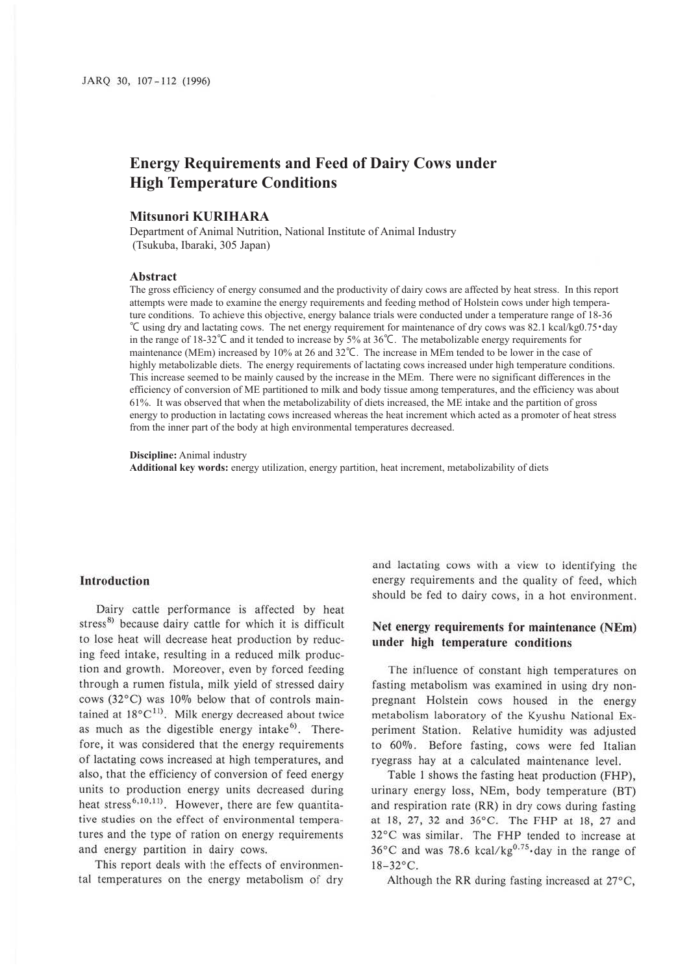# **Energy Requirements and Feed of Dairy Cows under High Temperature Conditions**

### **Mitsunori KURIHARA**

Department of Animal Nutrition, National Institute of Animal Industry (Tsukuba, Ibaraki, 305 Japan)

### **Abstract**

The gross efficiency of energy consumed and the productivity of dairy cows are affected by heat stress. In this report attempts were made to examine the energy requirements and feeding method of Holstein cows under high temperature conditions. To achieve this objective, energy balance trials were conducted under a temperature range of 18-36 ℃ using dry and lactating cows. The net energy requirement for maintenance of dry cows was 82.1 kcal/kg0.75・day in the range of 18-32℃ and it tended to increase by 5% at 36℃. The metabolizable energy requirements for maintenance (MEm) increased by 10% at 26 and 32℃. The increase in MEm tended to be lower in the case of highly metabolizable diets. The energy requirements of lactating cows increased under high temperature conditions. This increase seemed to be mainly caused by the increase in the MEm. There were no significant differences in the efficiency of conversion of ME partitioned to milk and body tissue among temperatures, and the efficiency was about 61%. It was observed that when the metabolizability of diets increased, the ME intake and the partition of gross energy to production in lactating cows increased whereas the heat increment which acted as a promoter of heat stress from the inner part of the body at high environmental temperatures decreased.

**Discipline:** Animal industry

**Additional key words:** energy utilization, energy partition, heat increment, metabolizability of diets

#### **Introduction**

Dairy cattle performance is affected by heat stress<sup>8)</sup> because dairy cattle for which it is difficult to lose heat will decrease heat production by reducing feed intake, resulting in a reduced milk production and growth. Moreover, even by forced feeding through a rumen fistula, milk yield of stressed dairy cows (32°C) was JO% below that of controls maintained at  $18^{\circ}$ C<sup>11</sup>. Milk energy decreased about twice as much as the digestible energy intake<sup>6</sup>. Therefore, it was considered that the energy requirements of lactating cows increased at high temperatures, and also, that the efficiency of conversion of feed energy units to production energy units decreased during heat stress<sup>6,10,11</sup>. However, there are few quantitative studies on the effect of environmental temperatures and the type of ration on energy requirements and energy partition in dairy cows.

This report deals with the effects of environmental temperatures on the energy metabolism of dry and lactating cows with a view to identifying the energy requirements and the quality of feed, which should be fed to dairy cows, in a hot environment.

# **Net energy requirements for maintenance (NEm) under high temperature conditions**

The influence of constant high temperatures on fasting metabolism was examined in using dry nonpregnant Holstein cows housed in the energy metabolism laboratory of the Kyushu National Experiment Station. Relative humidity was adjusted to 60%. Before fasting, cows were fed Italian ryegrass hay at a calculated maintenance level.

Table I shows the fasting heat production (FHP), urinary energy loss, NEm, body temperature (BT) and respiration rate (RR) in dry cows during fasting at 18, 27, 32 and 36°C. The FHP at 18, 27 and 32°C was similar. The FHP tended to increase at  $36^{\circ}$ C and was 78.6 kcal/kg<sup>0.75</sup> day in the range of  $18 - 32$ °C.

Although the RR during fasting increased at 27°C,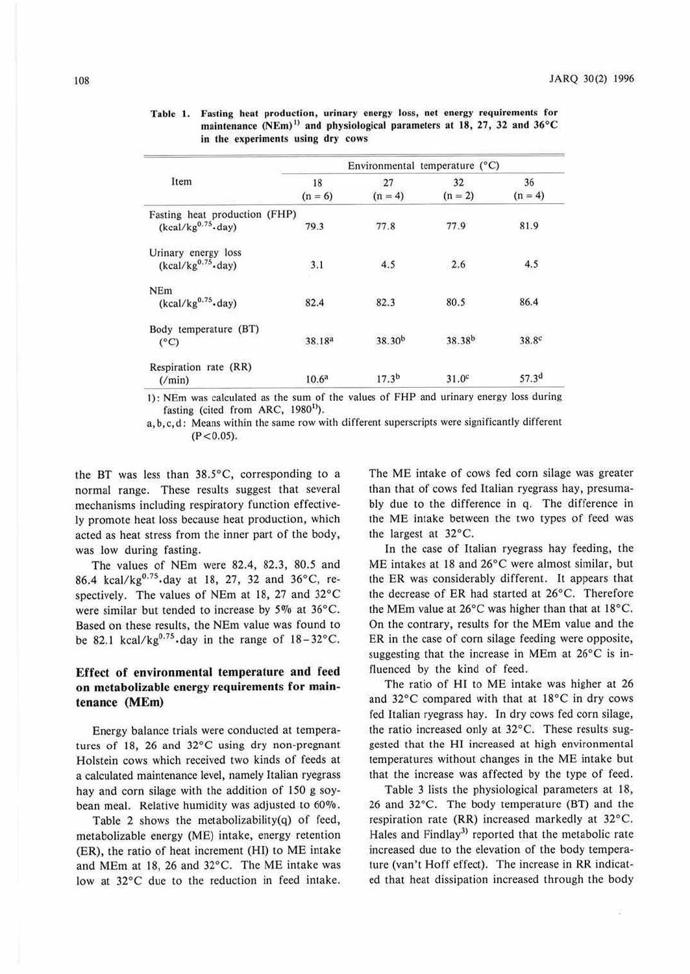|                                                      | Environmental temperature (°C) |                    |                    |                   |
|------------------------------------------------------|--------------------------------|--------------------|--------------------|-------------------|
| Item                                                 | 18<br>$(n = 6)$                | 27<br>$(n = 4)$    | 32<br>$(n = 2)$    | 36<br>$(n = 4)$   |
| Fasting heat production (FHP)<br>$(kcal/kg0.75$ day) | 79.3                           | 77.8               | 77.9               | 81.9              |
| Urinary energy loss                                  |                                |                    |                    |                   |
| $(kcal/kg0.75$ day)                                  | 3.1                            | 4.5                | 2.6                | 4.5               |
| <b>NEm</b><br>$(kcal/kg0.75$ day)                    | 82.4                           | 82.3               | 80.5               | 86.4              |
|                                                      |                                |                    |                    |                   |
| Body temperature (BT)<br>$(^{\circ}C)$               | 38.18 <sup>a</sup>             | 38.30 <sup>b</sup> | 38.38 <sup>b</sup> | 38.8c             |
| Respiration rate (RR)<br>$(\text{min})$              | 10.6 <sup>a</sup>              | 17.3 <sup>b</sup>  | 31.0 <sup>c</sup>  | 57.3 <sup>d</sup> |

Table 1. Fasting heat production, urinary energy loss, net energy requirements for maintenance  $(NEm)^{1}$  and physiological parameters at 18, 27, 32 and 36°C in the experiments using dry cows

I): NEm was calculated as ihe sum of the values of FHP and urinary energy loss during fasting (cited from ARC,  $1980<sup>1</sup>$ ).

a, b, c, d: Means within the same row with different superscripts were significantly different  $(P < 0.05)$ .

the BT was less than 38.5°C, corresponding to a normal range. These results suggest that several mechanisms including respiratory function effective*ly* promote heat loss because heat production, which acted as heat stress from the inner part of the body, was low during fasting.

The values of NEm were 82.4, 82.3, 80.5 and 86.4 kcal/kg<sup>0.75</sup> day at 18, 27, 32 and 36°C, respectively. The values of NEm at 18, 27 and 32°C were similar but tended to increase by *50/o* at 36°C. Based on these results, the NEm value was found to be 82.1 kcal/ $kg^{0.75}$  day in the range of  $18-32$ °C.

## **Effect of environmental temperature and feed on metabolizable energy requirements for maintenance (MEm)**

Energy balance trials were conducted at temperatures of 18, 26 and 32°C using dry non-pregnant Holstein cows which received two kinds of feeds at a calculated maintenance level, namely Italian ryegrass hay and com silage with the addition of 150 g soybean meal. Relative humidity was adjusted to 60%.

Table 2 shows the metabolizability(q) of feed, metabolizable energy (ME) intake, energy retention (ER), the ratio of heat increment (Hl) to ME intake and MEm at 18, 26 and 32°C. The ME intake was low at 32°C due to the reduction in feed intake.

The ME intake of cows fed corn silage was greater than that of cows fed Italian ryegrass hay, presumably due to the difference in q. The difference in the ME intake between the two types of feed was the largest at 32°C.

In the case of Italian ryegrass hay feeding, the ME intakes at 18 and 26°C were almost similar, but the ER was considerably different. It appears that the decrease of ER had started at 26°C. Therefore the MEm value at 26°C was higher than that at 18°C. On the contrary, results for the MEm value and the ER in the case of corn silage feeding were opposite, suggesting that the increase in MEm at 26°C is influenced by the kind of feed.

The ratio of HI to ME intake was higher at 26 and  $32^{\circ}$ C compared with that at  $18^{\circ}$ C in dry cows fed Italian ryegrass hay. In dry cows fed corn silage, the ratio increased only at 32°C. These results suggested that the Hl increased at high environmental temperatures without changes in the ME intake but that the increase was affected by the type of feed.

Table 3 lists the physiological parameters at 18, 26 and 32°C. The body temperature (BT) and the respiration rate (RR) increased markedly at 32°C. Hales and Findlay<sup>3)</sup> reported that the metabolic rate increased due to the elevation of the body temperature (van 't Hoff effect). The increase in RR indicated that heat dissipation increased through the body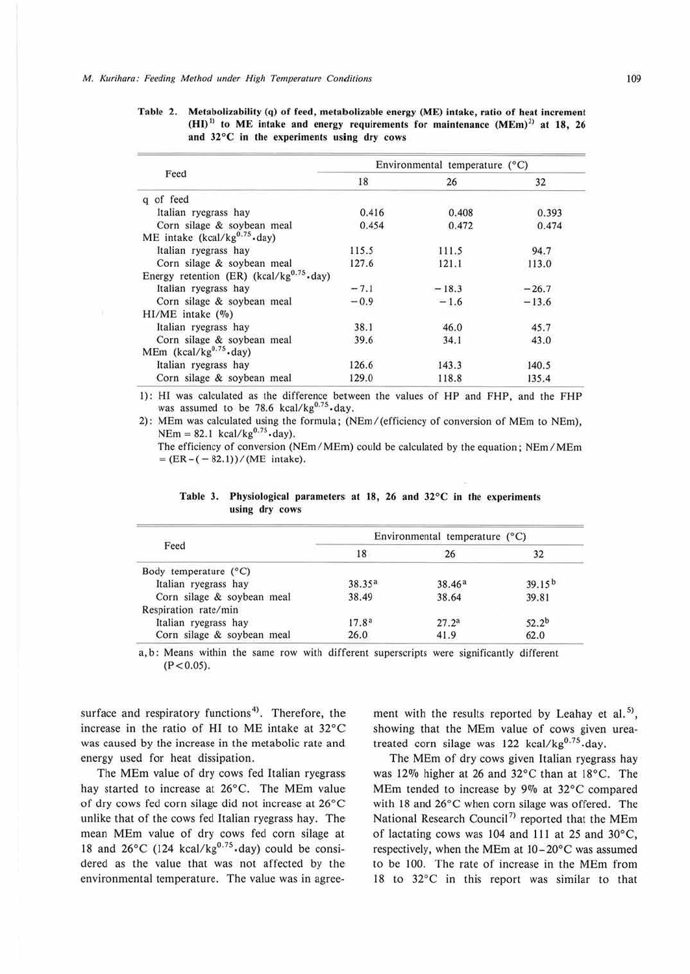|                                                | Environmental temperature (°C) |         |         |  |
|------------------------------------------------|--------------------------------|---------|---------|--|
| Feed                                           | 18                             | 26      | 32      |  |
| q of feed                                      |                                |         |         |  |
| Italian ryegrass hay                           | 0.416                          | 0.408   | 0.393   |  |
| Corn silage & soybean meal                     | 0.454                          | 0.472   | 0.474   |  |
| ME intake (kcal/kg $^{0.75}$ -day)             |                                |         |         |  |
| Italian ryegrass hay                           | 115.5                          | 111.5   | 94.7    |  |
| Corn silage & soybean meal                     | 127.6                          | 121.1   | 113.0   |  |
| Energy retention (ER) (kcal/kg $^{0.75}$ ·day) |                                |         |         |  |
| Italian ryegrass hay                           | $-7.1$                         | $-18.3$ | $-26.7$ |  |
| Corn silage & soybean meal                     | $-0.9$                         | $-1.6$  | $-13.6$ |  |
| $HI/ME$ intake $(\%)$                          |                                |         |         |  |
| Italian ryegrass hay                           | 38.1                           | 46.0    | 45.7    |  |
| Corn silage & soybean meal                     | 39.6                           | 34.1    | 43.0    |  |
| MEm (kcal/kg $^{0.75}$ ·day)                   |                                |         |         |  |
| Italian ryegrass hay                           | 126.6                          | 143.3   | 140.5   |  |
| Corn silage & soybean meal                     | 129.0                          | 118.8   | 135.4   |  |

Table 2. Metabolizability (q) of feed, metabolizable energy (ME) intake, ratio of heat increment  $(HI)^{11}$  to ME intake and energy requirements for maintenance  $(MEm)^{21}$  at 18, 26 and 32°C in the experiments using dry cows

I): HI was calculated as the difference between the values or HP and FHP, and the FHP was assumed to be 78.6 kcal/kg<sup>0.75</sup> day.

2): MEm was calculated using the formula; (NEm/(efficiency of conversion of MEm to NEm),  $NEm = 82.1$  kcal/kg<sup>0.75</sup> day).

The efficiency of conversion (NEm/MEm) could be calculated by the equation; NEm/MEm  $=$  (ER – (-82.1))/(ME intake).

| Feed                           | Environmental temperature (°C) |                   |                    |  |
|--------------------------------|--------------------------------|-------------------|--------------------|--|
|                                | 18                             | 26                | 32                 |  |
| Body temperature $(^{\circ}C)$ |                                |                   |                    |  |
| Italian ryegrass hay           | 38.35 <sup>a</sup>             | 38.46a            | 39.15 <sup>b</sup> |  |
| Corn silage & soybean meal     | 38.49                          | 38.64             | 39.81              |  |
| Respiration rate/min           |                                |                   |                    |  |
| Italian ryegrass hay           | 17.8 <sup>a</sup>              | 27.2 <sup>a</sup> | $52.2^{b}$         |  |
| Corn silage & soybean meal     | 26.0                           | 41.9              | 62.0               |  |

Table 3. Physiological parameters at 18, 26 and 32°C in the experiments using dry cows

a, b: Means within the same row with different superscripts were significantly different  $(P < 0.05)$ .

surface and respiratory functions<sup>4</sup>). Therefore, the increase in the ratio of Hl to ME intake at 32°C was caused by the increase in the metabolic rate and energy used for heat dissipation.

The MEm value of dry cows fed Italian ryegrass hay started to increase at 26°C. The MEm value of dry cows fed corn silage did not increase at 26°C unlike that of the cows fed Italian ryegrass hay. The mean MEm value of dry cows fed corn silage at 18 and  $26^{\circ}$ C (124 kcal/kg<sup>0.75</sup> day) could be considered as the value that was not affected by the environmental temperature. The value was in agreement with the results reported by Leahay et al.<sup>5)</sup>, showing that the MEm value of cows given ureatreated corn silage was 122 kcal/kg<sup>0.75</sup>.day.

The MEm of dry cows given Italian ryegrass hay was 12% higher at 26 and 32°C than at 18°C. The MEm tended to increase by 9% at  $32^{\circ}$ C compared with 18 and 26°C when corn silage was offered. The National Research Council<sup>7)</sup> reported that the MEm of lactating cows was 104 and 111 at 25 and 30°C, respectively, when the MEm at 10- 20°C was assumed to be 100. The rate of increase in the MEm from 18 10 32°C in this report was similar to that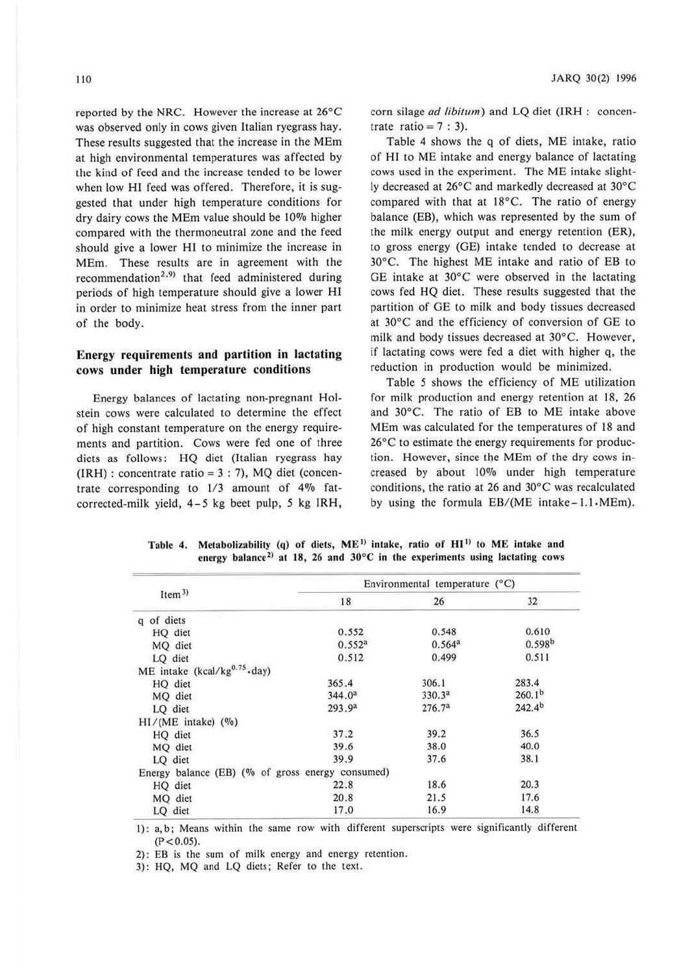reported by the NRC. However the increase at 26°C was observed only in cows given Italian ryegrass hay. These results suggested that the increase in the MEm at high environmental temperatures was affected by the kind of feed and the increase tended to be lower when low H1 feed was offered. Therefore, it is suggested that under high temperature conditions for dry dairy cows the MEm value should be 10% higher compared with the thermoneutral zone and the feed should give a lower HI to minimize the increase in MEm. These results are in agreement with the recommendation<sup>2,9)</sup> that feed administered during periods of high temperature should give a lower HI in order to minimize heat stress from the inner part of the body.

### **Energy requirements and partition in lactating cows under high temperature conditions**

Energy balances of lactating non-pregnant Holstein cows were calculated to determine the effect of high constant temperature on the energy requirements and partition. Cows were fed one of three diets as follows: HQ diet (Italian ryegrass hay  $(IRH)$ : concentrate ratio = 3 : 7), MQ diet (concentrate corresponding to 1/3 amount of 4% fatcorrected-milk yield, 4-5 kg beet pulp, 5 kg IRH, corn silage *ad libitum)* and LQ diet (TRH : concentrate ratio =  $7:3$ ).

Table 4 shows the q of diets, ME intake, ratio of HJ to ME intake and energy balance of lactating cows used in the experiment. The ME intake slightly decreased at 26°C and markedly decreased at 30°C compared with that at 18°C. The ratio of energy balance (EB), which was represented by the sum of the milk energy output and energy retention (ER), to gross energy (GE) intake tended to decrease at 30°C. The highest ME intake and ratio of EB to GE intake at 30°C were observed in the lactating cows fed HQ diet. These results suggested that the partition of GE to milk and body tissues decreased at 30°C and the efficiency of conversion of GE to milk and body tissues decreased at 30°C. However, if lactating cows were fed a diet with higher q, the reduction in production would be minimized.

Table 5 shows the efficiency of ME utilization for milk production and energy retention at 18, 26 and 30°C. The ratio of EB to ME intake above MEm was calculated for the temperatures of 18 and 26°C to estimate the energy requirements for production. However, since the MEm of the dry cows increased by about 10% under high temperature conditions, the ratio at 26 and 30°C was recalculated by using the formula  $EB/(ME$  intake-1.1 $\cdot$ MEm).

| Item <sup>3</sup>                        |                                                  | Environmental temperature (°C) |                    |  |  |
|------------------------------------------|--------------------------------------------------|--------------------------------|--------------------|--|--|
|                                          | 18                                               | 26                             | 32                 |  |  |
| of diets<br>$\alpha$                     |                                                  |                                |                    |  |  |
| HQ diet                                  | 0.552                                            | 0.548                          | 0.610              |  |  |
| MQ diet                                  | 0.552 <sup>a</sup>                               | 0.564 <sup>a</sup>             | 0.598b             |  |  |
| LQ diet                                  | 0.512                                            | 0.499                          | 0.511              |  |  |
| ME intake (kcal/kg <sup>0.75</sup> -day) |                                                  |                                |                    |  |  |
| HQ diet                                  | 365.4                                            | 306.1                          | 283.4              |  |  |
| MQ diet                                  | 344.0 <sup>a</sup>                               | 330.3 <sup>a</sup>             | 260.1 <sup>b</sup> |  |  |
| LQ diet                                  | 293.9 <sup>a</sup>                               | 276.7 <sup>a</sup>             | 242.4 <sup>b</sup> |  |  |
| $HI/(ME$ intake) $(\%)$                  |                                                  |                                |                    |  |  |
| HQ diet                                  | 37.2                                             | 39.2                           | 36.5               |  |  |
| MQ diet                                  | 39.6                                             | 38.0                           | 40.0               |  |  |
| LQ diet                                  | 39.9                                             | 37.6                           | 38.1               |  |  |
|                                          | Energy balance (EB) (% of gross energy consumed) |                                |                    |  |  |
| HQ diet                                  | 22.8                                             | 18.6                           | 20.3               |  |  |
| MQ diet                                  | 20.8                                             | 21.5                           | 17.6               |  |  |
| LQ diet                                  | 17.0                                             | 16.9                           | 14.8               |  |  |

Table 4. Metabolizability (q) of diets, ME<sup>D</sup> intake, ratio of HI<sup>D</sup> to ME intake and energy balance<sup>2)</sup> at 18, 26 and 30°C in the experiments using lactating cows

I) : a, b; Means within the same row with different superscripts were significantly different  $(P < 0.05)$ .

2): EB is the sum of milk energy and energy retention.

3): HQ, MQ and LQ diets; Refer to the text.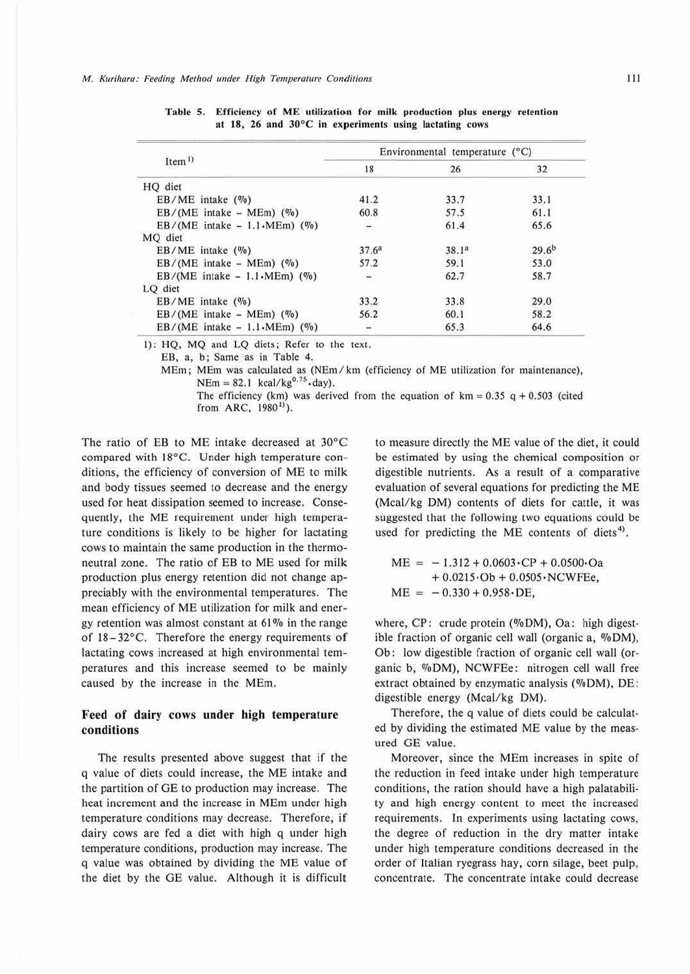|                                               | Environmental temperature (°C) |                   |            |
|-----------------------------------------------|--------------------------------|-------------------|------------|
| Item <sup>1</sup>                             | 18                             | 26                | 32         |
| HQ diet                                       |                                |                   |            |
| $EB/ME$ intake $(\%)$                         | 41.2                           | 33.7              | 33.1       |
| $EB/(ME)$ intake – MEm $)$ (%)                | 60.8                           | 57.5              | 61.1       |
| $EB/(ME)$ intake $-1.1 \cdot \text{MEM})$ (%) | $\overline{a}$                 | 61.4              | 65.6       |
| MO diet                                       |                                |                   |            |
| $EB/ME$ intake $(\%)$                         | 37.6 <sup>a</sup>              | 38.1 <sup>a</sup> | $29.6^{b}$ |
| $EB/(ME)$ intake – MEm $)$ (%)                | 57.2                           | 59.1              | 53.0       |
| $EB/(ME)$ intake $-1.1 \cdot \text{MEM})$ (%) |                                | 62.7              | 58.7       |
| LQ diet                                       |                                |                   |            |
| $EB/ME$ intake $(\%)$                         | 33.2                           | 33.8              | 29.0       |
| $EB/(ME)$ intake – MEm) $(\%)$                | 56.2                           | 60.1              | 58.2       |
| $EB/(ME)$ intake $-1.1 \cdot \text{MEM})$ (%) | L.                             | 65.3              | 64.6       |

Table 5. Efficiency of ME utilization for milk production plus energy retention at **18,** 26 and 30°C in experiments using lactating cows

1): HQ, MQ and LQ diets; Refer to the text.

EB, a, b; Same as in Table 4.

MEm; MEm was calculated as (NEm / km (efficiency of ME utilization for maintenance),  $NEm = 82.1$  kcal/kg<sup>0.75</sup> day).

The efficiency (km) was derived from the equation of  $km = 0.35$  q + 0.503 (cited from ARC, 1980<sup>1</sup>).

The ratio of EB to ME intake decreased at 30°C compared with 18°C. Under high temperature conditions, the efficiency of conversion of ME to milk and body tissues seemed to decrease and the energy used for heat dissipation seemed to increase. Consequently, the ME requirement under high temperature conditions is likely to be higher for lactating cows to maintain the same production in the thermoneutral zone. The ratio of EB to ME used for milk production plus energy retemion did not change appreciably with the environmental temperatures. The mean efficiency of ME utilization for milk and energy retention was almost constant at  $61\%$  in the range of 18-32°C. Therefore the energy requirements of lactating cows increased at high environmental temperatures and this increase seemed to be mainly caused by the increase in the MEm.

### Feed of dairy cows under high temperature **conditions**

The results presented above suggest that if the q value of diets could increase, the ME intake and the partition of GE to production may increase. The heat increment and the increase in MEm under high temperature conditions may decrease. Therefore, if dairy cows are fed a diet with high q under high temperature conditions, production may increase. The q value was obtained by dividing the ME value of the diet by the GE value. Although it is difficult to measure directly the ME value of the diet, it could be estimated by using the chemical composition or digestible nutrients. As a result of a comparative evaluation of several equations for predicting the ME (Meal/kg DM) contents of diets for cattle, it was suggested that the following two equations could be used for predicting the ME contents of diets<sup>4)</sup>.

$$
ME = -1.312 + 0.0603 \cdot CP + 0.0500 \cdot Oa + 0.0215 \cdot Ob + 0.0505 \cdot NCWFEe,ME = -0.330 + 0.958 \cdot DE,
$$

where,  $CP$ : crude protein (%DM), Oa: high digestible fraction of organic cell wall (organic a,  $\%$ DM), Ob: low digestible fraction of organic cell wall (organic b, %DM), NCWFEe: nitrogen cell wall free extract obtained by enzymatic analysis (%DM), DE: digestible energy (Meal/kg DM).

Therefore, the q value of diets could be calculated by dividing the estimated ME value by the measured GE value.

Moreover, since the MEm increases in spite of the reduction in feed intake under high temperature conditions, the ration should have a high palatability and high energy content to meet the increased requirements. In experiments using lactating cows, the degree of reduction in the dry matter intake under high temperature conditions decreased in the order of Italian ryegrass hay, corn silage, beet pulp, concentrate. The concentrate intake could decrease